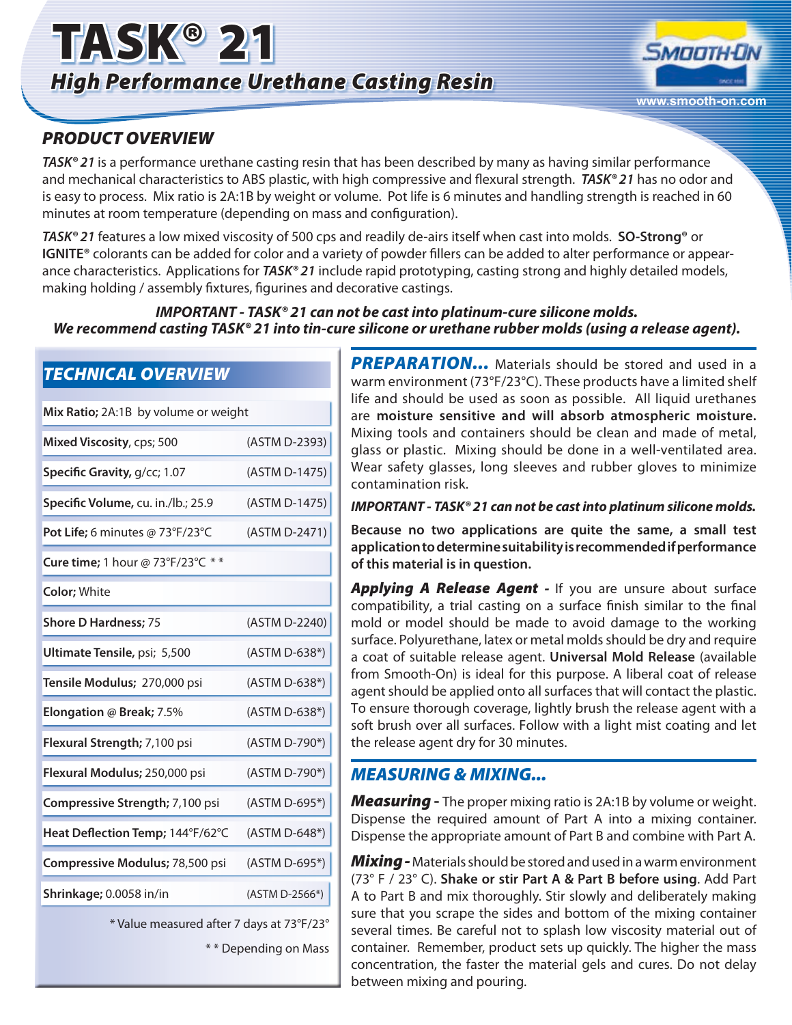



## *PRODUCT OVERVIEW*

*TECHNICAL OVERVIEW* 

*TASK® 21* is a performance urethane casting resin that has been described by many as having similar performance and mechanical characteristics to ABS plastic, with high compressive and flexural strength. *TASK® 21* has no odor and is easy to process. Mix ratio is 2A:1B by weight or volume. Pot life is 6 minutes and handling strength is reached in 60 minutes at room temperature (depending on mass and configuration).

*TASK® 21* features a low mixed viscosity of 500 cps and readily de-airs itself when cast into molds. **SO-Strong®** or **IGNITE®** colorants can be added for color and a variety of powder fillers can be added to alter performance or appearance characteristics.Applications for *TASK® 21* include rapid prototyping, casting strong and highly detailed models, making holding / assembly fixtures, figurines and decorative castings.

#### *IMPORTANT - TASK® 21 can not be cast into platinum-cure silicone molds. We recommend casting TASK® 21 into tin-cure silicone or urethane rubber molds (using a release agent).*

| Mix Ratio; 2A:1B by volume or weight |  |
|--------------------------------------|--|
| (ASTM D-2393)                        |  |
| (ASTM D-1475)                        |  |
| (ASTM D-1475)                        |  |
| (ASTM D-2471)                        |  |
|                                      |  |
|                                      |  |
| (ASTM D-2240)                        |  |
| (ASTM D-638*)                        |  |
| (ASTM D-638*)                        |  |
| (ASTM D-638*)                        |  |
| (ASTM D-790*)                        |  |
| (ASTM D-790*)                        |  |
| (ASTM D-695*)                        |  |
| (ASTM D-648*)                        |  |
| (ASTM D-695*)                        |  |
| (ASTM D-2566*)                       |  |
|                                      |  |

\* Value measured after 7 days at 73°F/23°

\* \* Depending on Mass

**PREPARATION...** Materials should be stored and used in a warm environment (73°F/23°C). These products have a limited shelf life and should be used as soon as possible. All liquid urethanes are **moisture sensitive and will absorb atmospheric moisture.** Mixing tools and containers should be clean and made of metal, glass or plastic. Mixing should be done in a well-ventilated area. Wear safety glasses, long sleeves and rubber gloves to minimize contamination risk.

#### *IMPORTANT - TASK® 21 can not be cast into platinum silicone molds.*

**Because no two applications are quite the same, a small test application to determine suitability is recommended if performance of this material is in question.**

*Applying A Release Agent -* If you are unsure about surface compatibility, a trial casting on a surface finish similar to the final mold or model should be made to avoid damage to the working surface. Polyurethane, latex or metal molds should be dry and require a coat of suitable release agent. **Universal Mold Release** (available from Smooth-On) is ideal for this purpose. A liberal coat of release agent should be applied onto all surfaces that will contact the plastic. To ensure thorough coverage, lightly brush the release agent with a soft brush over all surfaces. Follow with a light mist coating and let the release agent dry for 30 minutes.

### *MEASURING & MIXING...*

*Measuring* **-** The proper mixing ratio is 2A:1B by volume or weight. Dispense the required amount of Part A into a mixing container. Dispense the appropriate amount of Part B and combine with Part A.

*Mixing -* Materials should be stored and used in a warm environment (73° F / 23° C). **Shake or stir Part A & Part B before using**. Add Part A to Part B and mix thoroughly. Stir slowly and deliberately making sure that you scrape the sides and bottom of the mixing container several times. Be careful not to splash low viscosity material out of container. Remember, product sets up quickly. The higher the mass concentration, the faster the material gels and cures. Do not delay between mixing and pouring.